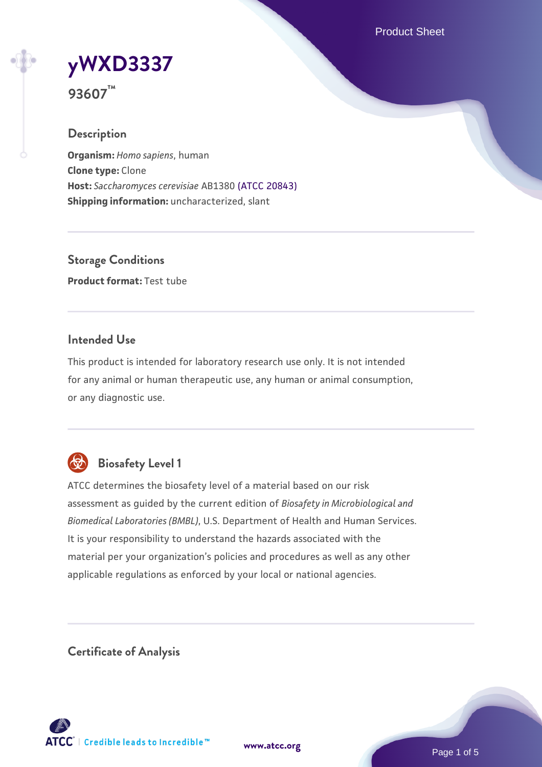Product Sheet

**[yWXD3337](https://www.atcc.org/products/93607)**

**93607™**

## **Description**

**Organism:** *Homo sapiens*, human **Clone type:** Clone **Host:** *Saccharomyces cerevisiae* AB1380 [\(ATCC 20843\)](https://www.atcc.org/products/20843) **Shipping information:** uncharacterized, slant

**Storage Conditions Product format:** Test tube

# **Intended Use**

This product is intended for laboratory research use only. It is not intended for any animal or human therapeutic use, any human or animal consumption, or any diagnostic use.



# **Biosafety Level 1**

ATCC determines the biosafety level of a material based on our risk assessment as guided by the current edition of *Biosafety in Microbiological and Biomedical Laboratories (BMBL)*, U.S. Department of Health and Human Services. It is your responsibility to understand the hazards associated with the material per your organization's policies and procedures as well as any other applicable regulations as enforced by your local or national agencies.

**Certificate of Analysis**

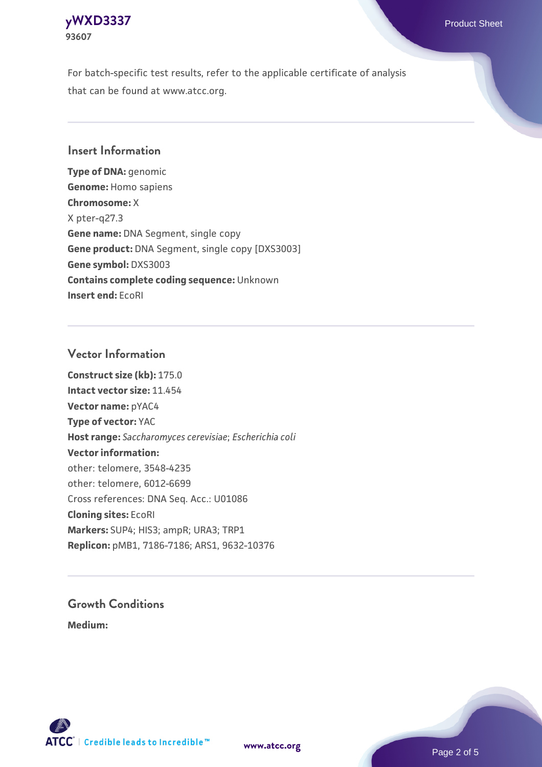### **[yWXD3337](https://www.atcc.org/products/93607)** Product Sheet **93607**

For batch-specific test results, refer to the applicable certificate of analysis that can be found at www.atcc.org.

# **Insert Information**

**Type of DNA:** genomic **Genome:** Homo sapiens **Chromosome:** X X pter-q27.3 **Gene name:** DNA Segment, single copy **Gene product:** DNA Segment, single copy [DXS3003] **Gene symbol:** DXS3003 **Contains complete coding sequence:** Unknown **Insert end:** EcoRI

# **Vector Information**

**Construct size (kb):** 175.0 **Intact vector size:** 11.454 **Vector name:** pYAC4 **Type of vector:** YAC **Host range:** *Saccharomyces cerevisiae*; *Escherichia coli* **Vector information:** other: telomere, 3548-4235 other: telomere, 6012-6699 Cross references: DNA Seq. Acc.: U01086 **Cloning sites:** EcoRI **Markers:** SUP4; HIS3; ampR; URA3; TRP1 **Replicon:** pMB1, 7186-7186; ARS1, 9632-10376

# **Growth Conditions**

**Medium:** 



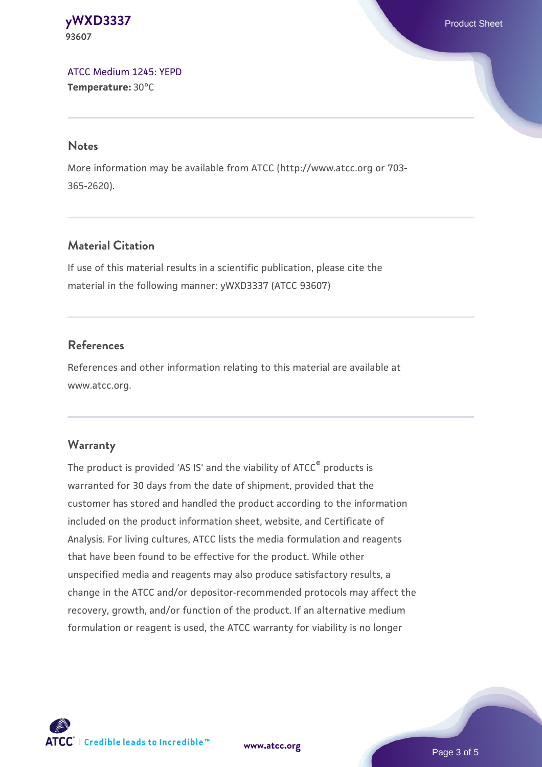**[yWXD3337](https://www.atcc.org/products/93607)** Product Sheet **93607**

[ATCC Medium 1245: YEPD](https://www.atcc.org/-/media/product-assets/documents/microbial-media-formulations/1/2/4/5/atcc-medium-1245.pdf?rev=705ca55d1b6f490a808a965d5c072196) **Temperature:** 30°C

#### **Notes**

More information may be available from ATCC (http://www.atcc.org or 703- 365-2620).

# **Material Citation**

If use of this material results in a scientific publication, please cite the material in the following manner: yWXD3337 (ATCC 93607)

# **References**

References and other information relating to this material are available at www.atcc.org.

#### **Warranty**

The product is provided 'AS IS' and the viability of ATCC® products is warranted for 30 days from the date of shipment, provided that the customer has stored and handled the product according to the information included on the product information sheet, website, and Certificate of Analysis. For living cultures, ATCC lists the media formulation and reagents that have been found to be effective for the product. While other unspecified media and reagents may also produce satisfactory results, a change in the ATCC and/or depositor-recommended protocols may affect the recovery, growth, and/or function of the product. If an alternative medium formulation or reagent is used, the ATCC warranty for viability is no longer

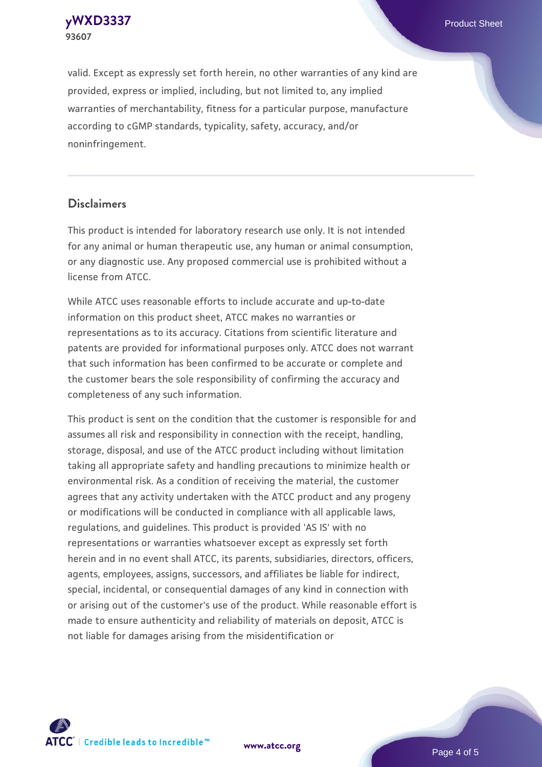**[yWXD3337](https://www.atcc.org/products/93607)** Product Sheet **93607**

valid. Except as expressly set forth herein, no other warranties of any kind are provided, express or implied, including, but not limited to, any implied warranties of merchantability, fitness for a particular purpose, manufacture according to cGMP standards, typicality, safety, accuracy, and/or noninfringement.

#### **Disclaimers**

This product is intended for laboratory research use only. It is not intended for any animal or human therapeutic use, any human or animal consumption, or any diagnostic use. Any proposed commercial use is prohibited without a license from ATCC.

While ATCC uses reasonable efforts to include accurate and up-to-date information on this product sheet, ATCC makes no warranties or representations as to its accuracy. Citations from scientific literature and patents are provided for informational purposes only. ATCC does not warrant that such information has been confirmed to be accurate or complete and the customer bears the sole responsibility of confirming the accuracy and completeness of any such information.

This product is sent on the condition that the customer is responsible for and assumes all risk and responsibility in connection with the receipt, handling, storage, disposal, and use of the ATCC product including without limitation taking all appropriate safety and handling precautions to minimize health or environmental risk. As a condition of receiving the material, the customer agrees that any activity undertaken with the ATCC product and any progeny or modifications will be conducted in compliance with all applicable laws, regulations, and guidelines. This product is provided 'AS IS' with no representations or warranties whatsoever except as expressly set forth herein and in no event shall ATCC, its parents, subsidiaries, directors, officers, agents, employees, assigns, successors, and affiliates be liable for indirect, special, incidental, or consequential damages of any kind in connection with or arising out of the customer's use of the product. While reasonable effort is made to ensure authenticity and reliability of materials on deposit, ATCC is not liable for damages arising from the misidentification or



**[www.atcc.org](http://www.atcc.org)**

Page 4 of 5